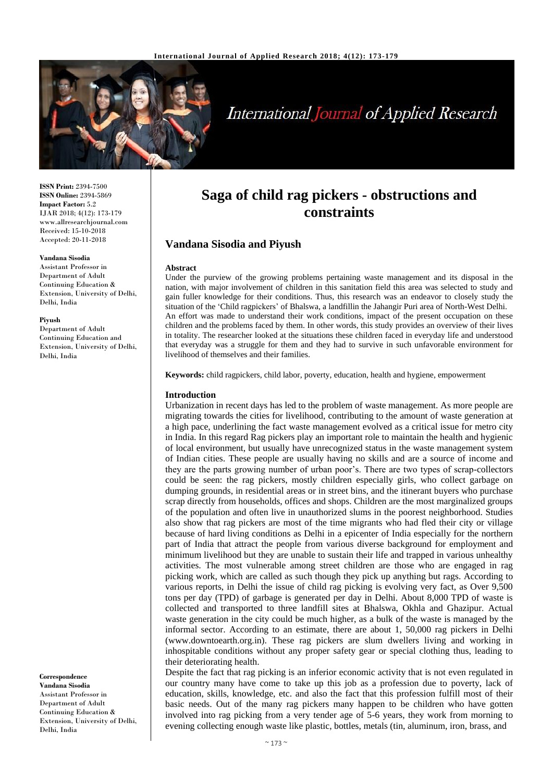

# **International Journal of Applied Research**

**ISSN Print:** 2394-7500 **ISSN Online:** 2394-5869 **Impact Factor:** 5.2 IJAR 2018; 4(12): 173-179 www.allresearchjournal.com Received: 15-10-2018 Accepted: 20-11-2018

#### **Vandana Sisodia**

Assistant Professor in Department of Adult Continuing Education & Extension, University of Delhi, Delhi, India

#### **Piyush**

Department of Adult Continuing Education and Extension, University of Delhi, Delhi, India

**Correspondence Vandana Sisodia** Assistant Professor in Department of Adult Continuing Education & Extension, University of Delhi, Delhi, India

## **Saga of child rag pickers - obstructions and constraints**

## **Vandana Sisodia and Piyush**

#### **Abstract**

Under the purview of the growing problems pertaining waste management and its disposal in the nation, with major involvement of children in this sanitation field this area was selected to study and gain fuller knowledge for their conditions. Thus, this research was an endeavor to closely study the situation of the 'Child ragpickers' of Bhalswa, a landfillin the Jahangir Puri area of North-West Delhi. An effort was made to understand their work conditions, impact of the present occupation on these children and the problems faced by them. In other words, this study provides an overview of their lives in totality. The researcher looked at the situations these children faced in everyday life and understood that everyday was a struggle for them and they had to survive in such unfavorable environment for livelihood of themselves and their families.

**Keywords:** child ragpickers, child labor, poverty, education, health and hygiene, empowerment

#### **Introduction**

Urbanization in recent days has led to the problem of waste management. As more people are migrating towards the cities for livelihood, contributing to the amount of waste generation at a high pace, underlining the fact waste management evolved as a critical issue for metro city in India. In this regard Rag pickers play an important role to maintain the health and hygienic of local environment, but usually have unrecognized status in the waste management system of Indian cities. These people are usually having no skills and are a source of income and they are the parts growing number of urban poor's. There are two types of scrap-collectors could be seen: the rag pickers, mostly children especially girls, who collect garbage on dumping grounds, in residential areas or in street bins, and the itinerant buyers who purchase scrap directly from households, offices and shops. Children are the most marginalized groups of the population and often live in unauthorized slums in the poorest neighborhood. Studies also show that rag pickers are most of the time migrants who had fled their city or village because of hard living conditions as Delhi in a epicenter of India especially for the northern part of India that attract the people from various diverse background for employment and minimum livelihood but they are unable to sustain their life and trapped in various unhealthy activities. The most vulnerable among street children are those who are engaged in rag picking work, which are called as such though they pick up anything but rags. According to various reports, in Delhi the issue of child rag picking is evolving very fact, as Over 9,500 tons per day (TPD) of garbage is generated per day in Delhi. About 8,000 TPD of waste is collected and transported to three landfill sites at Bhalswa, Okhla and Ghazipur. Actual waste generation in the city could be much higher, as a bulk of the waste is managed by the informal sector. According to an estimate, there are about 1, 50,000 rag pickers in Delhi (www.downtoearth.org.in). These rag pickers are slum dwellers living and working in inhospitable conditions without any proper safety gear or special clothing thus, leading to their deteriorating health.

Despite the fact that rag picking is an inferior economic activity that is not even regulated in our country many have come to take up this job as a profession due to poverty, lack of education, skills, knowledge, etc. and also the fact that this profession fulfill most of their basic needs. Out of the many rag pickers many happen to be children who have gotten involved into rag picking from a very tender age of 5-6 years, they work from morning to evening collecting enough waste like plastic, bottles, metals (tin, aluminum, iron, brass, and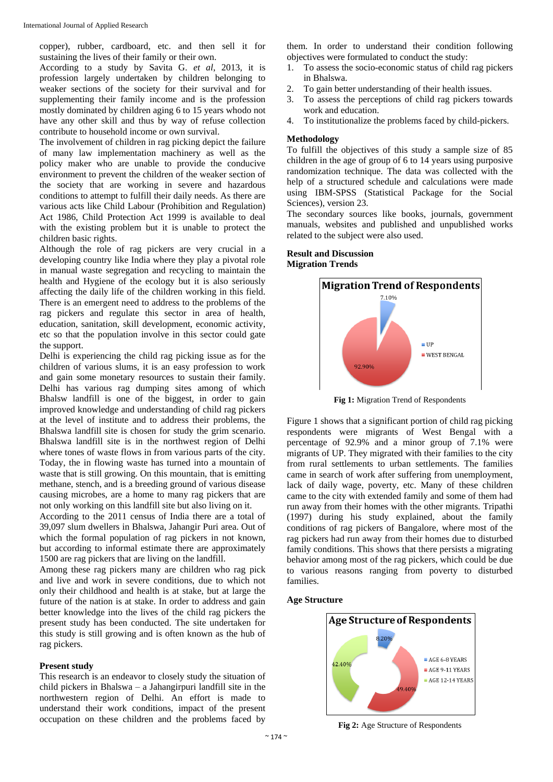copper), rubber, cardboard, etc. and then sell it for sustaining the lives of their family or their own.

According to a study by Savita G. *et al*, 2013, it is profession largely undertaken by children belonging to weaker sections of the society for their survival and for supplementing their family income and is the profession mostly dominated by children aging 6 to 15 years whodo not have any other skill and thus by way of refuse collection contribute to household income or own survival.

The involvement of children in rag picking depict the failure of many law implementation machinery as well as the policy maker who are unable to provide the conducive environment to prevent the children of the weaker section of the society that are working in severe and hazardous conditions to attempt to fulfill their daily needs. As there are various acts like Child Labour (Prohibition and Regulation) Act 1986, Child Protection Act 1999 is available to deal with the existing problem but it is unable to protect the children basic rights.

Although the role of rag pickers are very crucial in a developing country like India where they play a pivotal role in manual waste segregation and recycling to maintain the health and Hygiene of the ecology but it is also seriously affecting the daily life of the children working in this field. There is an emergent need to address to the problems of the rag pickers and regulate this sector in area of health, education, sanitation, skill development, economic activity, etc so that the population involve in this sector could gate the support.

Delhi is experiencing the child rag picking issue as for the children of various slums, it is an easy profession to work and gain some monetary resources to sustain their family. Delhi has various rag dumping sites among of which Bhalsw landfill is one of the biggest, in order to gain improved knowledge and understanding of child rag pickers at the level of institute and to address their problems, the Bhalswa landfill site is chosen for study the grim scenario. Bhalswa landfill site is in the northwest region of Delhi where tones of waste flows in from various parts of the city. Today, the in flowing waste has turned into a mountain of waste that is still growing. On this mountain, that is emitting methane, stench, and is a breeding ground of various disease causing microbes, are a home to many rag pickers that are not only working on this landfill site but also living on it.

According to the 2011 census of India there are a total of 39,097 slum dwellers in Bhalswa, Jahangir Puri area. Out of which the formal population of rag pickers in not known. but according to informal estimate there are approximately 1500 are rag pickers that are living on the landfill.

Among these rag pickers many are children who rag pick and live and work in severe conditions, due to which not only their childhood and health is at stake, but at large the future of the nation is at stake. In order to address and gain better knowledge into the lives of the child rag pickers the present study has been conducted. The site undertaken for this study is still growing and is often known as the hub of rag pickers.

#### **Present study**

This research is an endeavor to closely study the situation of child pickers in Bhalswa – a Jahangirpuri landfill site in the northwestern region of Delhi. An effort is made to understand their work conditions, impact of the present occupation on these children and the problems faced by

them. In order to understand their condition following objectives were formulated to conduct the study:

- 1. To assess the socio-economic status of child rag pickers in Bhalswa.
- 2. To gain better understanding of their health issues.
- 3. To assess the perceptions of child rag pickers towards work and education.
- 4. To institutionalize the problems faced by child-pickers.

## **Methodology**

To fulfill the objectives of this study a sample size of 85 children in the age of group of 6 to 14 years using purposive randomization technique. The data was collected with the help of a structured schedule and calculations were made using IBM-SPSS (Statistical Package for the Social Sciences), version 23.

The secondary sources like books, journals, government manuals, websites and published and unpublished works related to the subject were also used.

## **Result and Discussion Migration Trends**



**Fig 1:** Migration Trend of Respondents

Figure 1 shows that a significant portion of child rag picking respondents were migrants of West Bengal with a percentage of 92.9% and a minor group of 7.1% were migrants of UP. They migrated with their families to the city from rural settlements to urban settlements. The families came in search of work after suffering from unemployment, lack of daily wage, poverty, etc. Many of these children came to the city with extended family and some of them had run away from their homes with the other migrants. Tripathi (1997) during his study explained, about the family conditions of rag pickers of Bangalore, where most of the rag pickers had run away from their homes due to disturbed family conditions. This shows that there persists a migrating behavior among most of the rag pickers, which could be due to various reasons ranging from poverty to disturbed families.

#### **Age Structure**



**Fig 2:** Age Structure of Respondents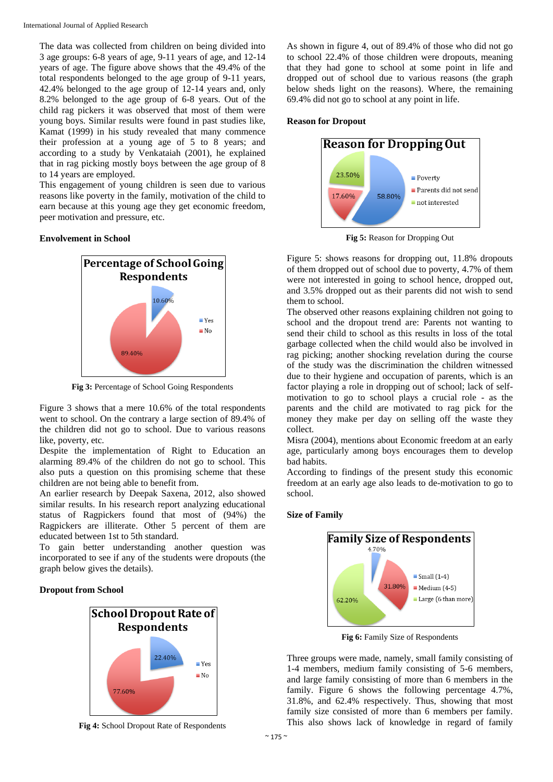The data was collected from children on being divided into 3 age groups: 6-8 years of age, 9-11 years of age, and 12-14 years of age. The figure above shows that the 49.4% of the total respondents belonged to the age group of 9-11 years, 42.4% belonged to the age group of 12-14 years and, only 8.2% belonged to the age group of 6-8 years. Out of the child rag pickers it was observed that most of them were young boys. Similar results were found in past studies like, Kamat (1999) in his study revealed that many commence their profession at a young age of 5 to 8 years; and according to a study by Venkataiah (2001), he explained that in rag picking mostly boys between the age group of 8 to 14 years are employed.

This engagement of young children is seen due to various reasons like poverty in the family, motivation of the child to earn because at this young age they get economic freedom, peer motivation and pressure, etc.

#### **Envolvement in School**



**Fig 3:** Percentage of School Going Respondents

Figure 3 shows that a mere 10.6% of the total respondents went to school. On the contrary a large section of 89.4% of the children did not go to school. Due to various reasons like, poverty, etc.

Despite the implementation of Right to Education an alarming 89.4% of the children do not go to school. This also puts a question on this promising scheme that these children are not being able to benefit from.

An earlier research by Deepak Saxena, 2012, also showed similar results. In his research report analyzing educational status of Ragpickers found that most of (94%) the Ragpickers are illiterate. Other 5 percent of them are educated between 1st to 5th standard.

To gain better understanding another question was incorporated to see if any of the students were dropouts (the graph below gives the details).

#### **Dropout from School**



**Fig 4:** School Dropout Rate of Respondents

As shown in figure 4, out of 89.4% of those who did not go to school 22.4% of those children were dropouts, meaning that they had gone to school at some point in life and dropped out of school due to various reasons (the graph below sheds light on the reasons). Where, the remaining 69.4% did not go to school at any point in life.

#### **Reason for Dropout**



**Fig 5:** Reason for Dropping Out

Figure 5: shows reasons for dropping out, 11.8% dropouts of them dropped out of school due to poverty, 4.7% of them were not interested in going to school hence, dropped out, and 3.5% dropped out as their parents did not wish to send them to school.

The observed other reasons explaining children not going to school and the dropout trend are: Parents not wanting to send their child to school as this results in loss of the total garbage collected when the child would also be involved in rag picking; another shocking revelation during the course of the study was the discrimination the children witnessed due to their hygiene and occupation of parents, which is an factor playing a role in dropping out of school; lack of selfmotivation to go to school plays a crucial role - as the parents and the child are motivated to rag pick for the money they make per day on selling off the waste they collect.

Misra (2004), mentions about Economic freedom at an early age, particularly among boys encourages them to develop bad habits.

According to findings of the present study this economic freedom at an early age also leads to de-motivation to go to school.

#### **Size of Family**



Fig 6: Family Size of Respondents

Three groups were made, namely, small family consisting of 1-4 members, medium family consisting of 5-6 members, and large family consisting of more than 6 members in the family. Figure 6 shows the following percentage 4.7%, 31.8%, and 62.4% respectively. Thus, showing that most family size consisted of more than 6 members per family. This also shows lack of knowledge in regard of family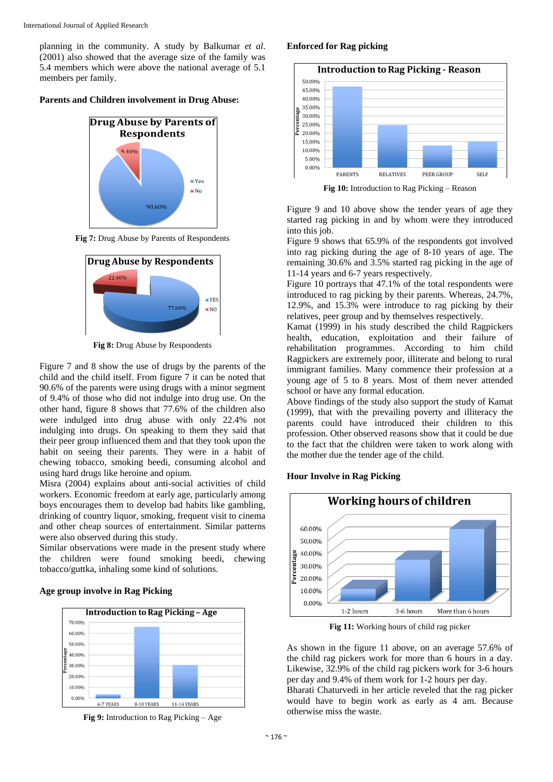planning in the community. A study by Balkumar *et al*. (2001) also showed that the average size of the family was 5.4 members which were above the national average of 5.1 members per family.

#### **Parents and Children involvement in Drug Abuse:**



**Fig 7:** Drug Abuse by Parents of Respondents



**Fig 8:** Drug Abuse by Respondents

Figure 7 and 8 show the use of drugs by the parents of the child and the child itself. From figure 7 it can be noted that 90.6% of the parents were using drugs with a minor segment of 9.4% of those who did not indulge into drug use. On the other hand, figure 8 shows that 77.6% of the children also were indulged into drug abuse with only 22.4% not indulging into drugs. On speaking to them they said that their peer group influenced them and that they took upon the habit on seeing their parents. They were in a habit of chewing tobacco, smoking beedi, consuming alcohol and using hard drugs like heroine and opium.

Misra (2004) explains about anti-social activities of child workers. Economic freedom at early age, particularly among boys encourages them to develop bad habits like gambling, drinking of country liquor, smoking, frequent visit to cinema and other cheap sources of entertainment. Similar patterns were also observed during this study.

Similar observations were made in the present study where the children were found smoking beedi, chewing tobacco/guttka, inhaling some kind of solutions.

#### **Age group involve in Rag Picking**





## **Enforced for Rag picking**



**Fig 10:** Introduction to Rag Picking – Reason

Figure 9 and 10 above show the tender years of age they started rag picking in and by whom were they introduced into this job.

Figure 9 shows that 65.9% of the respondents got involved into rag picking during the age of 8-10 years of age. The remaining 30.6% and 3.5% started rag picking in the age of 11-14 years and 6-7 years respectively.

Figure 10 portrays that 47.1% of the total respondents were introduced to rag picking by their parents. Whereas, 24.7%, 12.9%, and 15.3% were introduce to rag picking by their relatives, peer group and by themselves respectively.

Kamat (1999) in his study described the child Ragpickers health, education, exploitation and their failure of rehabilitation programmes. According to him child Ragpickers are extremely poor, illiterate and belong to rural immigrant families. Many commence their profession at a young age of 5 to 8 years. Most of them never attended school or have any formal education.

Above findings of the study also support the study of Kamat (1999), that with the prevailing poverty and illiteracy the parents could have introduced their children to this profession. Other observed reasons show that it could be due to the fact that the children were taken to work along with the mother due the tender age of the child.

#### **Hour Involve in Rag Picking**



**Fig 11:** Working hours of child rag picker

As shown in the figure 11 above, on an average 57.6% of the child rag pickers work for more than 6 hours in a day. Likewise, 32.9% of the child rag pickers work for 3-6 hours per day and 9.4% of them work for 1-2 hours per day.

Bharati Chaturvedi in her article reveled that the rag picker would have to begin work as early as 4 am. Because otherwise miss the waste.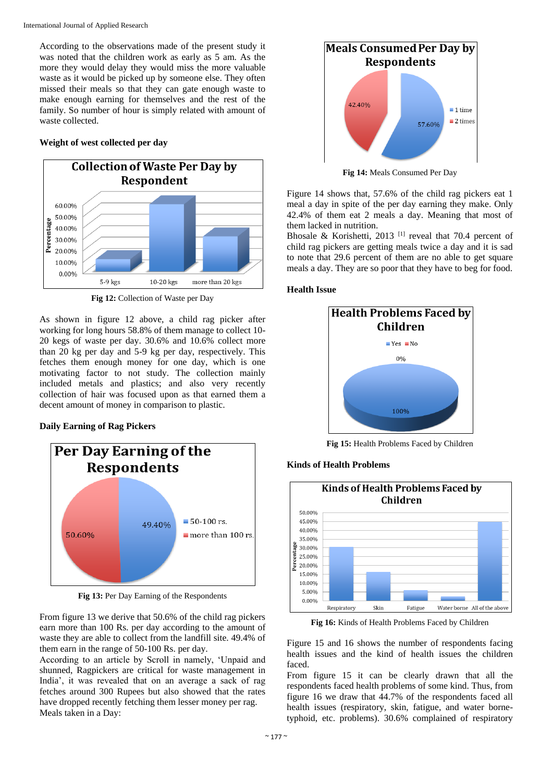According to the observations made of the present study it was noted that the children work as early as 5 am. As the more they would delay they would miss the more valuable waste as it would be picked up by someone else. They often missed their meals so that they can gate enough waste to make enough earning for themselves and the rest of the family. So number of hour is simply related with amount of waste collected.

## **Weight of west collected per day**



**Fig 12:** Collection of Waste per Day

As shown in figure 12 above, a child rag picker after working for long hours 58.8% of them manage to collect 10- 20 kegs of waste per day. 30.6% and 10.6% collect more than 20 kg per day and 5-9 kg per day, respectively. This fetches them enough money for one day, which is one motivating factor to not study. The collection mainly included metals and plastics; and also very recently collection of hair was focused upon as that earned them a decent amount of money in comparison to plastic.

## **Daily Earning of Rag Pickers**



**Fig 13:** Per Day Earning of the Respondents

From figure 13 we derive that 50.6% of the child rag pickers earn more than 100 Rs. per day according to the amount of waste they are able to collect from the landfill site. 49.4% of them earn in the range of 50-100 Rs. per day.

According to an article by Scroll in namely, 'Unpaid and shunned, Ragpickers are critical for waste management in India', it was revealed that on an average a sack of rag fetches around 300 Rupees but also showed that the rates have dropped recently fetching them lesser money per rag. Meals taken in a Day:



**Fig 14:** Meals Consumed Per Day

Figure 14 shows that, 57.6% of the child rag pickers eat 1 meal a day in spite of the per day earning they make. Only 42.4% of them eat 2 meals a day. Meaning that most of them lacked in nutrition.

Bhosale & Korishetti, 2013<sup>[1]</sup> reveal that 70.4 percent of child rag pickers are getting meals twice a day and it is sad to note that 29.6 percent of them are no able to get square meals a day. They are so poor that they have to beg for food.

## **Health Issue**

**Kinds of Health Problems**



**Fig 15:** Health Problems Faced by Children



**Fig 16:** Kinds of Health Problems Faced by Children

Figure 15 and 16 shows the number of respondents facing health issues and the kind of health issues the children faced.

From figure 15 it can be clearly drawn that all the respondents faced health problems of some kind. Thus, from figure 16 we draw that 44.7% of the respondents faced all health issues (respiratory, skin, fatigue, and water bornetyphoid, etc. problems). 30.6% complained of respiratory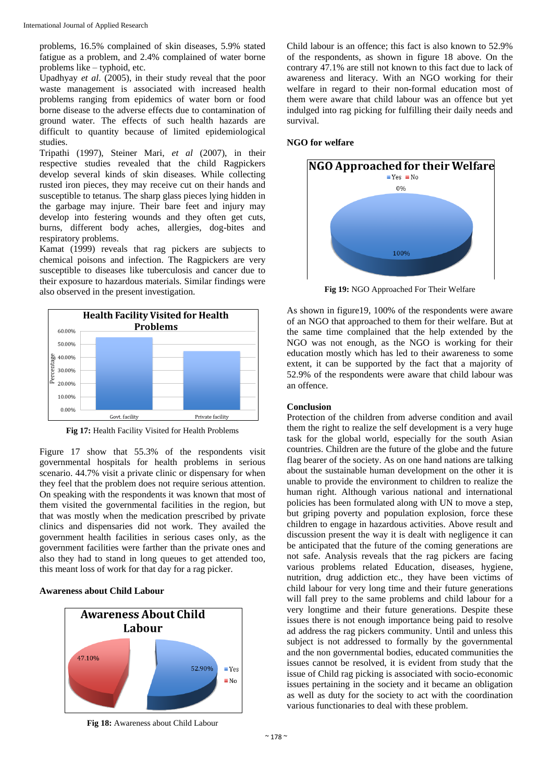problems, 16.5% complained of skin diseases, 5.9% stated fatigue as a problem, and 2.4% complained of water borne problems like – typhoid, etc.

Upadhyay *et al*. (2005), in their study reveal that the poor waste management is associated with increased health problems ranging from epidemics of water born or food borne disease to the adverse effects due to contamination of ground water. The effects of such health hazards are difficult to quantity because of limited epidemiological studies.

Tripathi (1997), Steiner Mari, *et al* (2007), in their respective studies revealed that the child Ragpickers develop several kinds of skin diseases. While collecting rusted iron pieces, they may receive cut on their hands and susceptible to tetanus. The sharp glass pieces lying hidden in the garbage may injure. Their bare feet and injury may develop into festering wounds and they often get cuts, burns, different body aches, allergies, dog-bites and respiratory problems.

Kamat (1999) reveals that rag pickers are subjects to chemical poisons and infection. The Ragpickers are very susceptible to diseases like tuberculosis and cancer due to their exposure to hazardous materials. Similar findings were also observed in the present investigation.



**Fig 17:** Health Facility Visited for Health Problems

Figure 17 show that 55.3% of the respondents visit governmental hospitals for health problems in serious scenario. 44.7% visit a private clinic or dispensary for when they feel that the problem does not require serious attention. On speaking with the respondents it was known that most of them visited the governmental facilities in the region, but that was mostly when the medication prescribed by private clinics and dispensaries did not work. They availed the government health facilities in serious cases only, as the government facilities were farther than the private ones and also they had to stand in long queues to get attended too, this meant loss of work for that day for a rag picker.

#### **Awareness about Child Labour**



**Fig 18:** Awareness about Child Labour

Child labour is an offence; this fact is also known to 52.9% of the respondents, as shown in figure 18 above. On the contrary 47.1% are still not known to this fact due to lack of awareness and literacy. With an NGO working for their welfare in regard to their non-formal education most of them were aware that child labour was an offence but yet indulged into rag picking for fulfilling their daily needs and survival.

## **NGO for welfare**



**Fig 19:** NGO Approached For Their Welfare

As shown in figure19, 100% of the respondents were aware of an NGO that approached to them for their welfare. But at the same time complained that the help extended by the NGO was not enough, as the NGO is working for their education mostly which has led to their awareness to some extent, it can be supported by the fact that a majority of 52.9% of the respondents were aware that child labour was an offence.

## **Conclusion**

Protection of the children from adverse condition and avail them the right to realize the self development is a very huge task for the global world, especially for the south Asian countries. Children are the future of the globe and the future flag bearer of the society. As on one hand nations are talking about the sustainable human development on the other it is unable to provide the environment to children to realize the human right. Although various national and international policies has been formulated along with UN to move a step, but griping poverty and population explosion, force these children to engage in hazardous activities. Above result and discussion present the way it is dealt with negligence it can be anticipated that the future of the coming generations are not safe. Analysis reveals that the rag pickers are facing various problems related Education, diseases, hygiene, nutrition, drug addiction etc., they have been victims of child labour for very long time and their future generations will fall prey to the same problems and child labour for a very longtime and their future generations. Despite these issues there is not enough importance being paid to resolve ad address the rag pickers community. Until and unless this subject is not addressed to formally by the governmental and the non governmental bodies, educated communities the issues cannot be resolved, it is evident from study that the issue of Child rag picking is associated with socio-economic issues pertaining in the society and it became an obligation as well as duty for the society to act with the coordination various functionaries to deal with these problem.